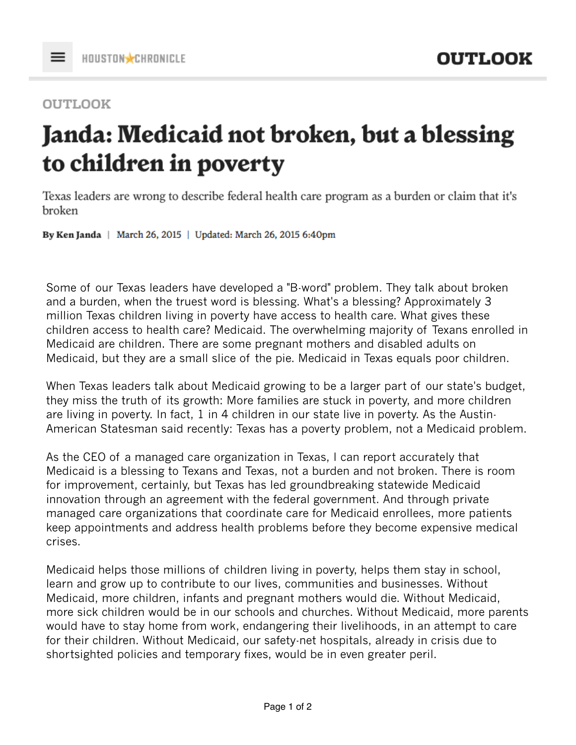## **OUTLOOK**

## Janda: Medicaid not broken, but a blessing to children in poverty

Texas leaders are wrong to describe federal health care program as a burden or claim that it's broken

By Ken Janda | March 26, 2015 | Updated: March 26, 2015 6:40pm

Some of our Texas leaders have developed a "B-word" problem. They talk about broken and a burden, when the truest word is blessing. What's a blessing? Approximately 3 million Texas children living in poverty have access to health care. What gives these children access to health care? Medicaid. The overwhelming majority of Texans enrolled in Medicaid are children. There are some pregnant mothers and disabled adults on Medicaid, but they are a small slice of the pie. Medicaid in Texas equals poor children.

When Texas leaders talk about Medicaid growing to be a larger part of our state's budget, they miss the truth of its growth: More families are stuck in poverty, and more children are living in poverty. In fact, 1 in 4 children in our state live in poverty. As the Austin-American Statesman said recently: Texas has a poverty problem, not a Medicaid problem.

As the CEO of a managed care organization in Texas, I can report accurately that Medicaid is a blessing to Texans and Texas, not a burden and not broken. There is room for improvement, certainly, but Texas has led groundbreaking statewide Medicaid innovation through an agreement with the federal government. And through private managed care organizations that coordinate care for Medicaid enrollees, more patients keep appointments and address health problems before they become expensive medical crises.

Medicaid helps those millions of children living in poverty, helps them stay in school, learn and grow up to contribute to our lives, communities and businesses. Without Medicaid, more children, infants and pregnant mothers would die. Without Medicaid, more sick children would be in our schools and churches. Without Medicaid, more parents would have to stay home from work, endangering their livelihoods, in an attempt to care for their children. Without Medicaid, our safety-net hospitals, already in crisis due to shortsighted policies and temporary fixes, would be in even greater peril.